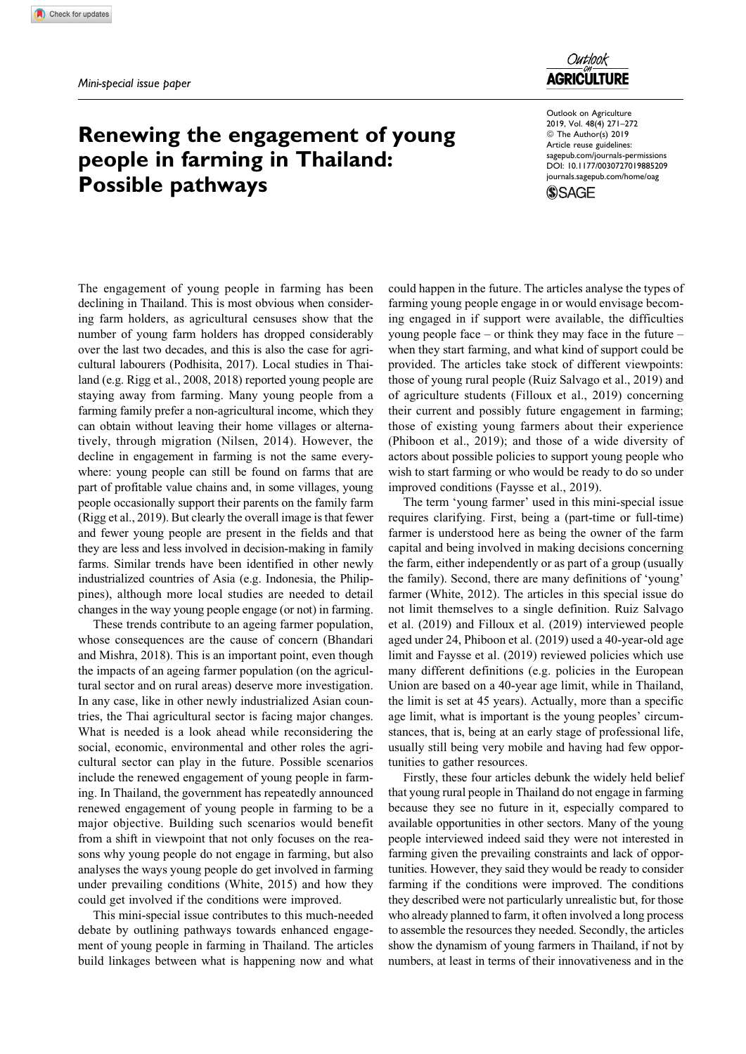## Outlook **AGRICULTURE**

## Renewing the engagement of young people in farming in Thailand: Possible pathways

Outlook on Agriculture 2019, Vol. 48(4) 271–272 ª The Author(s) 2019 Article reuse guidelines: [sagepub.com/journals-permissions](https://sagepub.com/journals-permissions) [DOI: 10.1177/0030727019885209](https://doi.org/10.1177/0030727019885209) [journals.sagepub.com/home/oag](http://journals.sagepub.com/home/oag)**SSAGE** 

The engagement of young people in farming has been declining in Thailand. This is most obvious when considering farm holders, as agricultural censuses show that the number of young farm holders has dropped considerably over the last two decades, and this is also the case for agricultural labourers (Podhisita, 2017). Local studies in Thailand (e.g. Rigg et al., 2008, 2018) reported young people are staying away from farming. Many young people from a farming family prefer a non-agricultural income, which they can obtain without leaving their home villages or alternatively, through migration (Nilsen, 2014). However, the decline in engagement in farming is not the same everywhere: young people can still be found on farms that are part of profitable value chains and, in some villages, young people occasionally support their parents on the family farm (Rigg et al., 2019). But clearly the overall image is that fewer and fewer young people are present in the fields and that they are less and less involved in decision-making in family farms. Similar trends have been identified in other newly industrialized countries of Asia (e.g. Indonesia, the Philippines), although more local studies are needed to detail changes in the way young people engage (or not) in farming.

These trends contribute to an ageing farmer population, whose consequences are the cause of concern (Bhandari and Mishra, 2018). This is an important point, even though the impacts of an ageing farmer population (on the agricultural sector and on rural areas) deserve more investigation. In any case, like in other newly industrialized Asian countries, the Thai agricultural sector is facing major changes. What is needed is a look ahead while reconsidering the social, economic, environmental and other roles the agricultural sector can play in the future. Possible scenarios include the renewed engagement of young people in farming. In Thailand, the government has repeatedly announced renewed engagement of young people in farming to be a major objective. Building such scenarios would benefit from a shift in viewpoint that not only focuses on the reasons why young people do not engage in farming, but also analyses the ways young people do get involved in farming under prevailing conditions (White, 2015) and how they could get involved if the conditions were improved.

This mini-special issue contributes to this much-needed debate by outlining pathways towards enhanced engagement of young people in farming in Thailand. The articles build linkages between what is happening now and what

could happen in the future. The articles analyse the types of farming young people engage in or would envisage becoming engaged in if support were available, the difficulties young people face – or think they may face in the future – when they start farming, and what kind of support could be provided. The articles take stock of different viewpoints: those of young rural people (Ruiz Salvago et al., 2019) and of agriculture students (Filloux et al., 2019) concerning their current and possibly future engagement in farming; those of existing young farmers about their experience (Phiboon et al., 2019); and those of a wide diversity of actors about possible policies to support young people who wish to start farming or who would be ready to do so under improved conditions (Faysse et al., 2019).

The term 'young farmer' used in this mini-special issue requires clarifying. First, being a (part-time or full-time) farmer is understood here as being the owner of the farm capital and being involved in making decisions concerning the farm, either independently or as part of a group (usually the family). Second, there are many definitions of 'young' farmer (White, 2012). The articles in this special issue do not limit themselves to a single definition. Ruiz Salvago et al. (2019) and Filloux et al. (2019) interviewed people aged under 24, Phiboon et al. (2019) used a 40-year-old age limit and Faysse et al. (2019) reviewed policies which use many different definitions (e.g. policies in the European Union are based on a 40-year age limit, while in Thailand, the limit is set at 45 years). Actually, more than a specific age limit, what is important is the young peoples' circumstances, that is, being at an early stage of professional life, usually still being very mobile and having had few opportunities to gather resources.

Firstly, these four articles debunk the widely held belief that young rural people in Thailand do not engage in farming because they see no future in it, especially compared to available opportunities in other sectors. Many of the young people interviewed indeed said they were not interested in farming given the prevailing constraints and lack of opportunities. However, they said they would be ready to consider farming if the conditions were improved. The conditions they described were not particularly unrealistic but, for those who already planned to farm, it often involved a long process to assemble the resources they needed. Secondly, the articles show the dynamism of young farmers in Thailand, if not by numbers, at least in terms of their innovativeness and in the